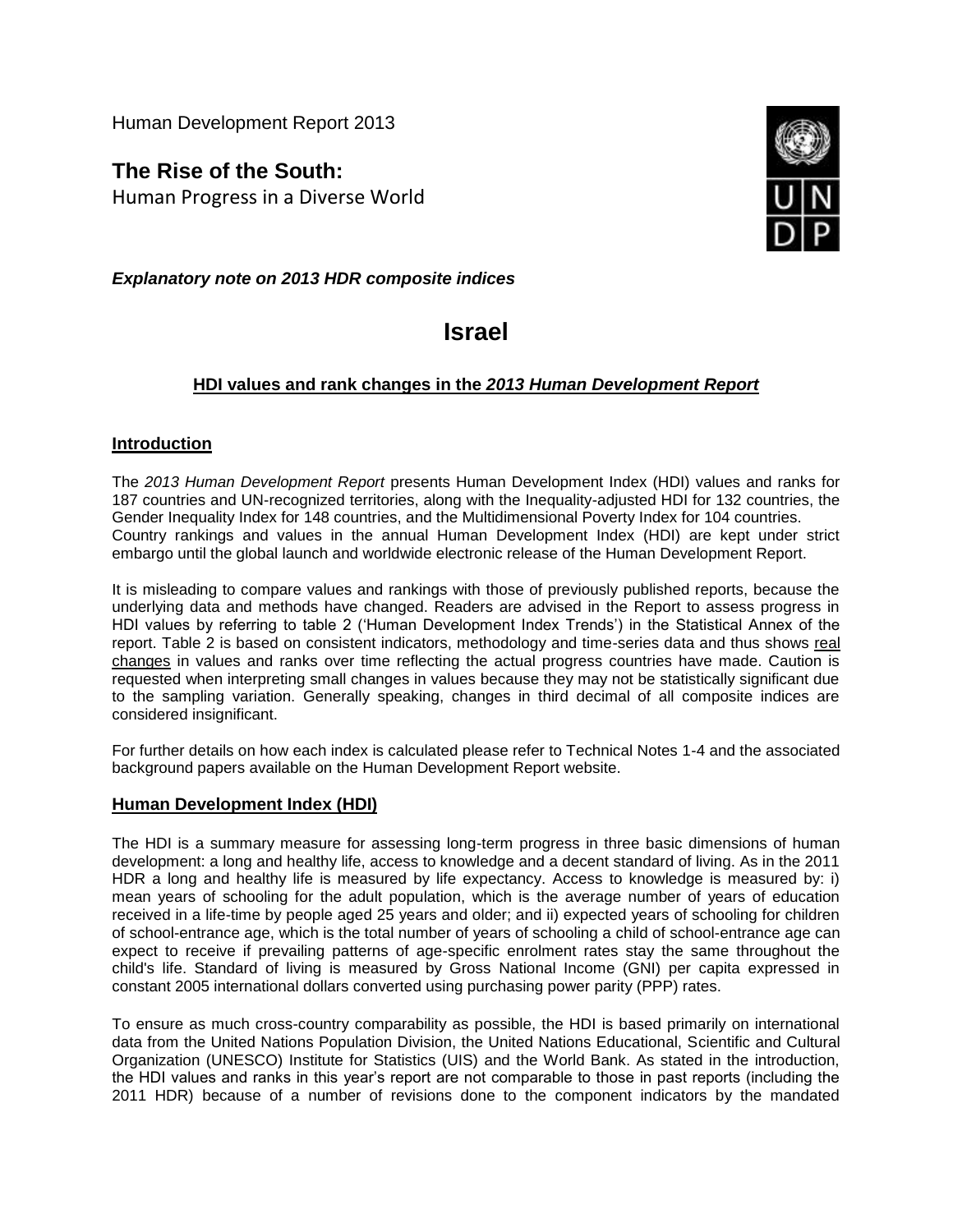Human Development Report 2013

**The Rise of the South:** Human Progress in a Diverse World



*Explanatory note on 2013 HDR composite indices*

# **Israel**

# **HDI values and rank changes in the** *2013 Human Development Report*

## **Introduction**

The *2013 Human Development Report* presents Human Development Index (HDI) values and ranks for 187 countries and UN-recognized territories, along with the Inequality-adjusted HDI for 132 countries, the Gender Inequality Index for 148 countries, and the Multidimensional Poverty Index for 104 countries. Country rankings and values in the annual Human Development Index (HDI) are kept under strict embargo until the global launch and worldwide electronic release of the Human Development Report.

It is misleading to compare values and rankings with those of previously published reports, because the underlying data and methods have changed. Readers are advised in the Report to assess progress in HDI values by referring to table 2 ('Human Development Index Trends') in the Statistical Annex of the report. Table 2 is based on consistent indicators, methodology and time-series data and thus shows real changes in values and ranks over time reflecting the actual progress countries have made. Caution is requested when interpreting small changes in values because they may not be statistically significant due to the sampling variation. Generally speaking, changes in third decimal of all composite indices are considered insignificant.

For further details on how each index is calculated please refer to Technical Notes 1-4 and the associated background papers available on the Human Development Report website.

#### **Human Development Index (HDI)**

The HDI is a summary measure for assessing long-term progress in three basic dimensions of human development: a long and healthy life, access to knowledge and a decent standard of living. As in the 2011 HDR a long and healthy life is measured by life expectancy. Access to knowledge is measured by: i) mean years of schooling for the adult population, which is the average number of years of education received in a life-time by people aged 25 years and older; and ii) expected years of schooling for children of school-entrance age, which is the total number of years of schooling a child of school-entrance age can expect to receive if prevailing patterns of age-specific enrolment rates stay the same throughout the child's life. Standard of living is measured by Gross National Income (GNI) per capita expressed in constant 2005 international dollars converted using purchasing power parity (PPP) rates.

To ensure as much cross-country comparability as possible, the HDI is based primarily on international data from the United Nations Population Division, the United Nations Educational, Scientific and Cultural Organization (UNESCO) Institute for Statistics (UIS) and the World Bank. As stated in the introduction, the HDI values and ranks in this year's report are not comparable to those in past reports (including the 2011 HDR) because of a number of revisions done to the component indicators by the mandated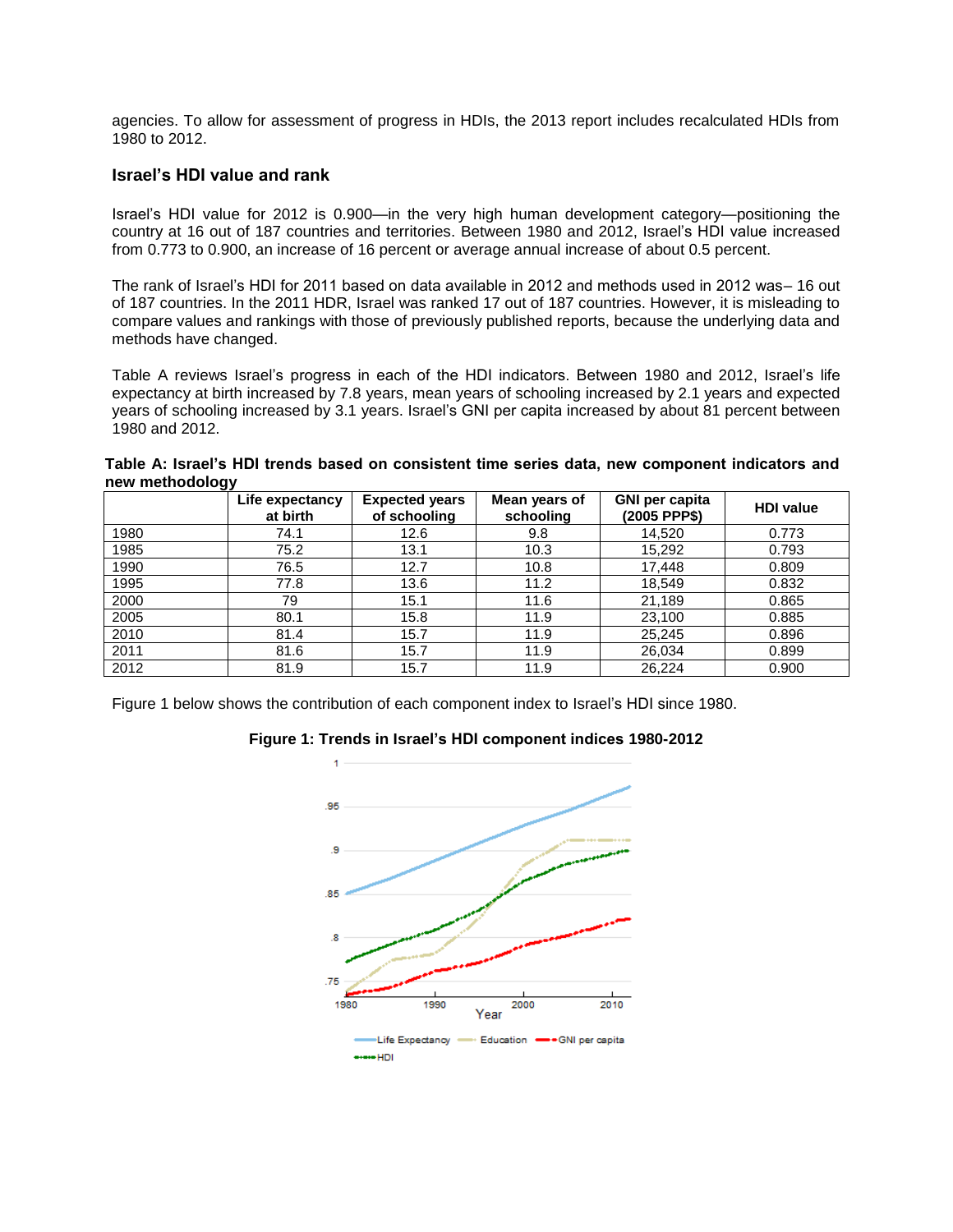agencies. To allow for assessment of progress in HDIs, the 2013 report includes recalculated HDIs from 1980 to 2012.

#### **Israel's HDI value and rank**

Israel's HDI value for 2012 is 0.900—in the very high human development category—positioning the country at 16 out of 187 countries and territories. Between 1980 and 2012, Israel's HDI value increased from 0.773 to 0.900, an increase of 16 percent or average annual increase of about 0.5 percent.

The rank of Israel's HDI for 2011 based on data available in 2012 and methods used in 2012 was– 16 out of 187 countries. In the 2011 HDR, Israel was ranked 17 out of 187 countries. However, it is misleading to compare values and rankings with those of previously published reports, because the underlying data and methods have changed.

Table A reviews Israel's progress in each of the HDI indicators. Between 1980 and 2012, Israel's life expectancy at birth increased by 7.8 years, mean years of schooling increased by 2.1 years and expected years of schooling increased by 3.1 years. Israel's GNI per capita increased by about 81 percent between 1980 and 2012.

**Table A: Israel's HDI trends based on consistent time series data, new component indicators and new methodology**

|      | Life expectancy<br>at birth | <b>Expected years</b><br>of schooling | Mean years of<br>schooling | <b>GNI per capita</b><br>(2005 PPP\$) | <b>HDI</b> value |
|------|-----------------------------|---------------------------------------|----------------------------|---------------------------------------|------------------|
| 1980 | 74.1                        | 12.6                                  | 9.8                        | 14,520                                | 0.773            |
| 1985 | 75.2                        | 13.1                                  | 10.3                       | 15,292                                | 0.793            |
| 1990 | 76.5                        | 12.7                                  | 10.8                       | 17,448                                | 0.809            |
| 1995 | 77.8                        | 13.6                                  | 11.2                       | 18,549                                | 0.832            |
| 2000 | 79                          | 15.1                                  | 11.6                       | 21,189                                | 0.865            |
| 2005 | 80.1                        | 15.8                                  | 11.9                       | 23,100                                | 0.885            |
| 2010 | 81.4                        | 15.7                                  | 11.9                       | 25,245                                | 0.896            |
| 2011 | 81.6                        | 15.7                                  | 11.9                       | 26,034                                | 0.899            |
| 2012 | 81.9                        | 15.7                                  | 11.9                       | 26,224                                | 0.900            |

Figure 1 below shows the contribution of each component index to Israel's HDI since 1980.

#### **Figure 1: Trends in Israel's HDI component indices 1980-2012**

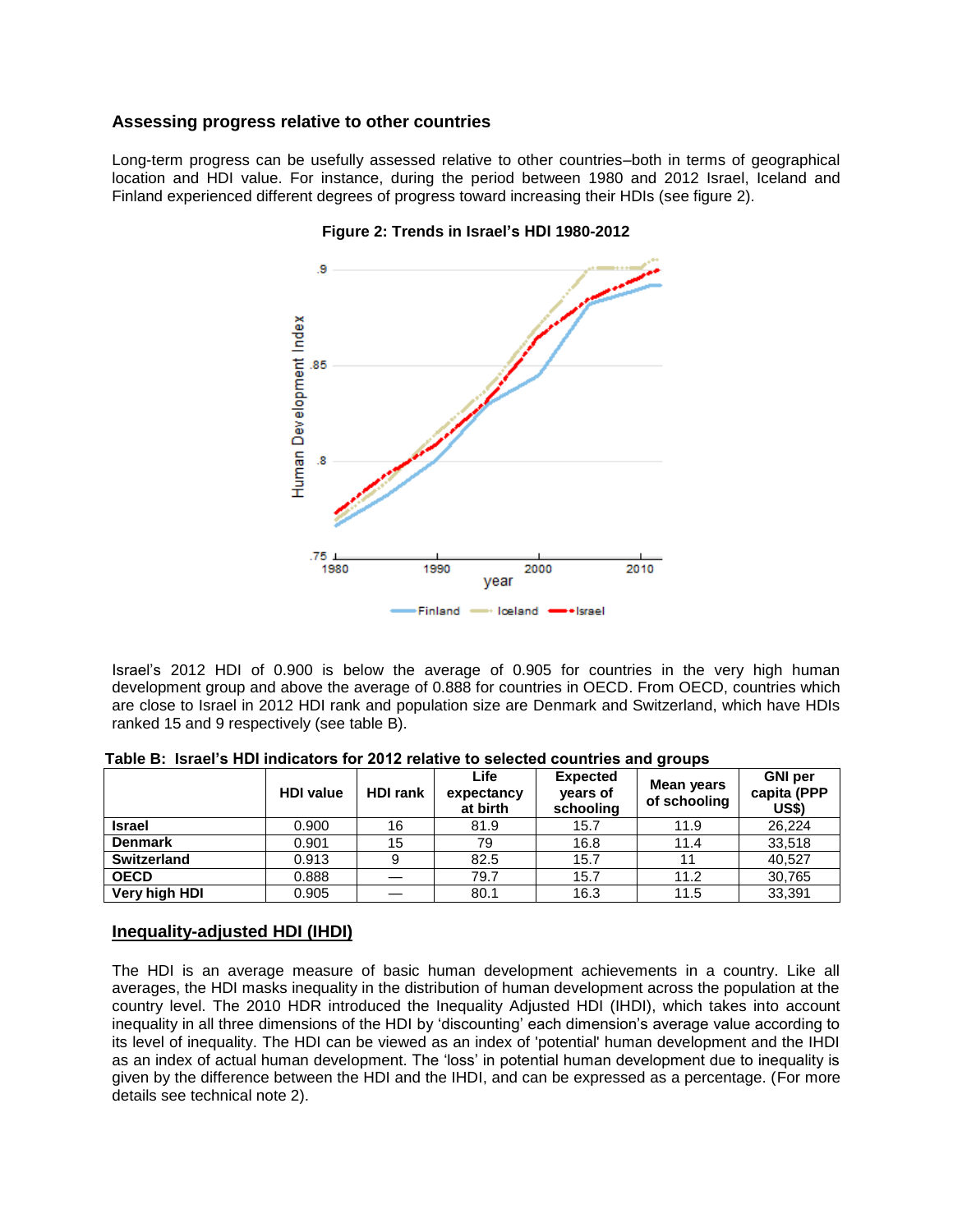#### **Assessing progress relative to other countries**

Long-term progress can be usefully assessed relative to other countries–both in terms of geographical location and HDI value. For instance, during the period between 1980 and 2012 Israel, Iceland and Finland experienced different degrees of progress toward increasing their HDIs (see figure 2).



#### **Figure 2: Trends in Israel's HDI 1980-2012**

Israel's 2012 HDI of 0.900 is below the average of 0.905 for countries in the very high human development group and above the average of 0.888 for countries in OECD. From OECD, countries which are close to Israel in 2012 HDI rank and population size are Denmark and Switzerland, which have HDIs ranked 15 and 9 respectively (see table B).

|                | <b>HDI</b> value | <b>HDI rank</b> | Life<br>expectancy<br>at birth | <b>Expected</b><br>years of<br>schooling | Mean years<br>of schooling | <b>GNI</b> per<br>capita (PPP<br>US\$) |
|----------------|------------------|-----------------|--------------------------------|------------------------------------------|----------------------------|----------------------------------------|
| <b>Israel</b>  | 0.900            | 16              | 81.9                           | 15.7                                     | 11.9                       | 26,224                                 |
| <b>Denmark</b> | 0.901            | 15              | 79                             | 16.8                                     | 11.4                       | 33,518                                 |
| Switzerland    | 0.913            | 9               | 82.5                           | 15.7                                     |                            | 40,527                                 |
| <b>OECD</b>    | 0.888            |                 | 79.7                           | 15.7                                     | 11.2                       | 30,765                                 |
| Very high HDI  | 0.905            |                 | 80.1                           | 16.3                                     | 11.5                       | 33,391                                 |

**Table B: Israel's HDI indicators for 2012 relative to selected countries and groups**

### **Inequality-adjusted HDI (IHDI)**

The HDI is an average measure of basic human development achievements in a country. Like all averages, the HDI masks inequality in the distribution of human development across the population at the country level. The 2010 HDR introduced the Inequality Adjusted HDI (IHDI), which takes into account inequality in all three dimensions of the HDI by 'discounting' each dimension's average value according to its level of inequality. The HDI can be viewed as an index of 'potential' human development and the IHDI as an index of actual human development. The 'loss' in potential human development due to inequality is given by the difference between the HDI and the IHDI, and can be expressed as a percentage. (For more details see technical note 2).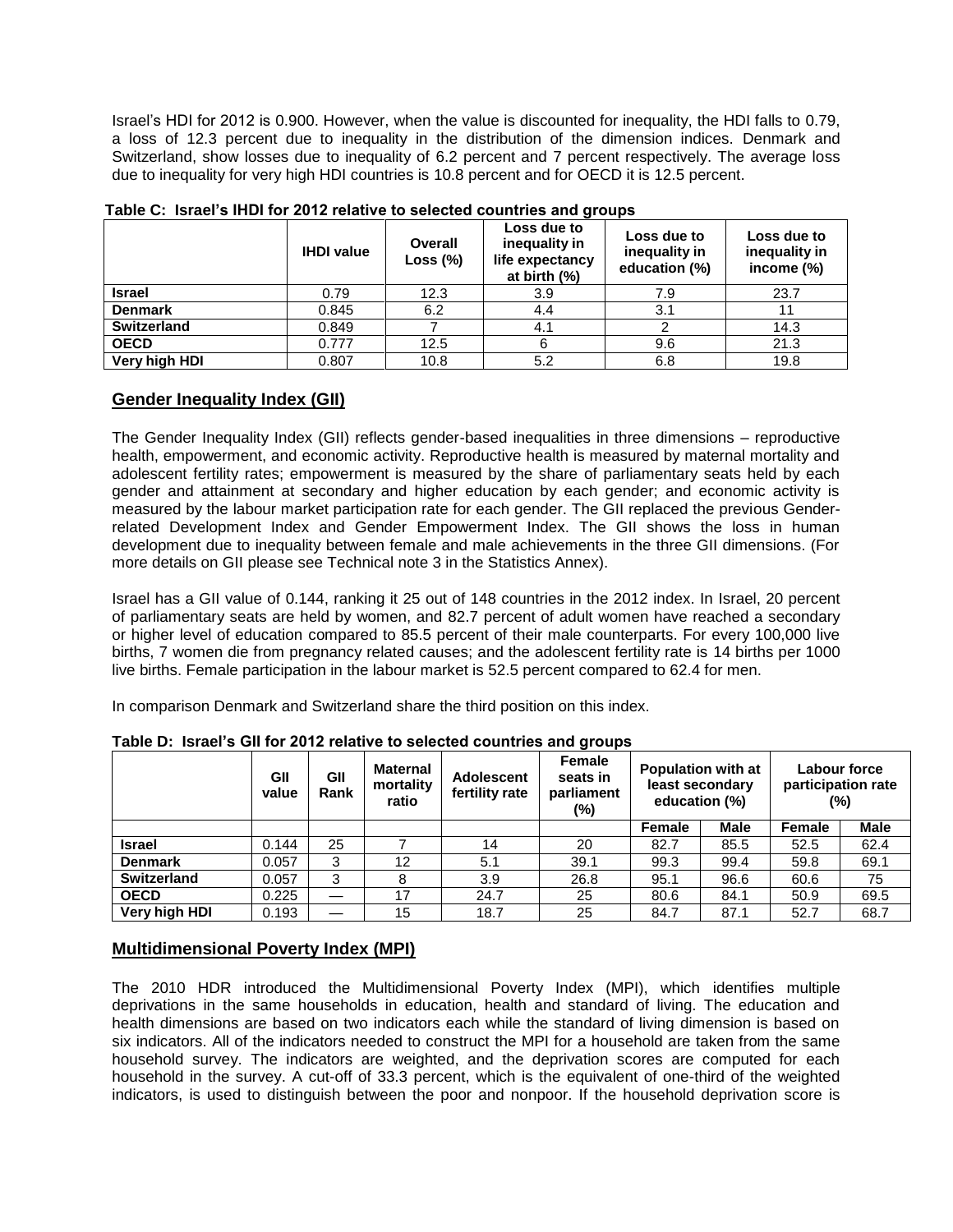Israel's HDI for 2012 is 0.900. However, when the value is discounted for inequality, the HDI falls to 0.79, a loss of 12.3 percent due to inequality in the distribution of the dimension indices. Denmark and Switzerland, show losses due to inequality of 6.2 percent and 7 percent respectively. The average loss due to inequality for very high HDI countries is 10.8 percent and for OECD it is 12.5 percent.

|                | <b>IHDI</b> value | Overall<br>Loss $(\%)$ | Loss due to<br>Loss due to<br>inequality in<br>inequality in<br>life expectancy<br>education (%)<br>at birth $(\%)$ |     | Loss due to<br>inequality in<br>income $(\%)$ |  |
|----------------|-------------------|------------------------|---------------------------------------------------------------------------------------------------------------------|-----|-----------------------------------------------|--|
| <b>Israel</b>  | 0.79              | 12.3                   | 3.9                                                                                                                 | 7.9 | 23.7                                          |  |
| <b>Denmark</b> | 0.845             | 6.2                    | 4.4                                                                                                                 | 3.1 |                                               |  |
| Switzerland    | 0.849             |                        | 4.1                                                                                                                 |     | 14.3                                          |  |
| <b>OECD</b>    | 0.777             | 12.5                   | 6                                                                                                                   | 9.6 | 21.3                                          |  |
| Very high HDI  | 0.807             | 10.8                   | 5.2                                                                                                                 | 6.8 | 19.8                                          |  |

**Table C: Israel's IHDI for 2012 relative to selected countries and groups**

## **Gender Inequality Index (GII)**

The Gender Inequality Index (GII) reflects gender-based inequalities in three dimensions – reproductive health, empowerment, and economic activity. Reproductive health is measured by maternal mortality and adolescent fertility rates; empowerment is measured by the share of parliamentary seats held by each gender and attainment at secondary and higher education by each gender; and economic activity is measured by the labour market participation rate for each gender. The GII replaced the previous Genderrelated Development Index and Gender Empowerment Index. The GII shows the loss in human development due to inequality between female and male achievements in the three GII dimensions. (For more details on GII please see Technical note 3 in the Statistics Annex).

Israel has a GII value of 0.144, ranking it 25 out of 148 countries in the 2012 index. In Israel, 20 percent of parliamentary seats are held by women, and 82.7 percent of adult women have reached a secondary or higher level of education compared to 85.5 percent of their male counterparts. For every 100,000 live births, 7 women die from pregnancy related causes; and the adolescent fertility rate is 14 births per 1000 live births. Female participation in the labour market is 52.5 percent compared to 62.4 for men.

In comparison Denmark and Switzerland share the third position on this index.

|                    | GII<br>value | GII<br>Rank | <b>Maternal</b><br>mortality<br>ratio | <b>Adolescent</b><br>fertility rate | Female<br>seats in<br>parliament<br>(%) | <b>Population with at</b><br>least secondary<br>education (%) |             | Labour force<br>participation rate<br>(%) |             |
|--------------------|--------------|-------------|---------------------------------------|-------------------------------------|-----------------------------------------|---------------------------------------------------------------|-------------|-------------------------------------------|-------------|
|                    |              |             |                                       |                                     |                                         | <b>Female</b>                                                 | <b>Male</b> | <b>Female</b>                             | <b>Male</b> |
| <b>Israel</b>      | 0.144        | 25          |                                       | 14                                  | 20                                      | 82.7                                                          | 85.5        | 52.5                                      | 62.4        |
| <b>Denmark</b>     | 0.057        | 3           | 12                                    | 5.1                                 | 39.1                                    | 99.3                                                          | 99.4        | 59.8                                      | 69.1        |
| <b>Switzerland</b> | 0.057        | 3           | 8                                     | 3.9                                 | 26.8                                    | 95.1                                                          | 96.6        | 60.6                                      | 75          |
| <b>OECD</b>        | 0.225        |             | 17                                    | 24.7                                | 25                                      | 80.6                                                          | 84.1        | 50.9                                      | 69.5        |
| Very high HDI      | 0.193        |             | 15                                    | 18.7                                | 25                                      | 84.7                                                          | 87.1        | 52.7                                      | 68.7        |

**Table D: Israel's GII for 2012 relative to selected countries and groups**

# **Multidimensional Poverty Index (MPI)**

The 2010 HDR introduced the Multidimensional Poverty Index (MPI), which identifies multiple deprivations in the same households in education, health and standard of living. The education and health dimensions are based on two indicators each while the standard of living dimension is based on six indicators. All of the indicators needed to construct the MPI for a household are taken from the same household survey. The indicators are weighted, and the deprivation scores are computed for each household in the survey. A cut-off of 33.3 percent, which is the equivalent of one-third of the weighted indicators, is used to distinguish between the poor and nonpoor. If the household deprivation score is